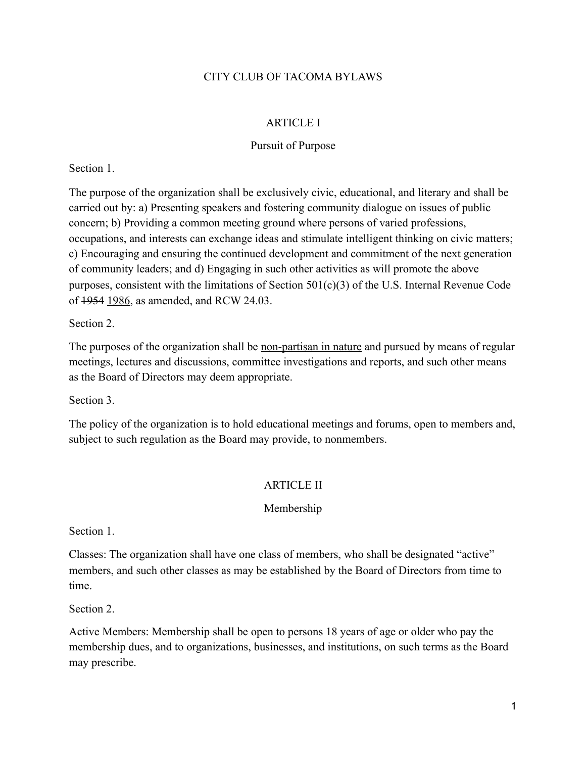# CITY CLUB OF TACOMA BYLAWS

## ARTICLE I

## Pursuit of Purpose

Section 1.

The purpose of the organization shall be exclusively civic, educational, and literary and shall be carried out by: a) Presenting speakers and fostering community dialogue on issues of public concern; b) Providing a common meeting ground where persons of varied professions, occupations, and interests can exchange ideas and stimulate intelligent thinking on civic matters; c) Encouraging and ensuring the continued development and commitment of the next generation of community leaders; and d) Engaging in such other activities as will promote the above purposes, consistent with the limitations of Section  $501(c)(3)$  of the U.S. Internal Revenue Code of 1954 1986, as amended, and RCW 24.03.

Section 2.

The purposes of the organization shall be <u>non-partisan in nature</u> and pursued by means of regular meetings, lectures and discussions, committee investigations and reports, and such other means as the Board of Directors may deem appropriate.

Section 3.

The policy of the organization is to hold educational meetings and forums, open to members and, subject to such regulation as the Board may provide, to nonmembers.

## ARTICLE II

## Membership

Section 1.

Classes: The organization shall have one class of members, who shall be designated "active" members, and such other classes as may be established by the Board of Directors from time to time.

Section 2.

Active Members: Membership shall be open to persons 18 years of age or older who pay the membership dues, and to organizations, businesses, and institutions, on such terms as the Board may prescribe.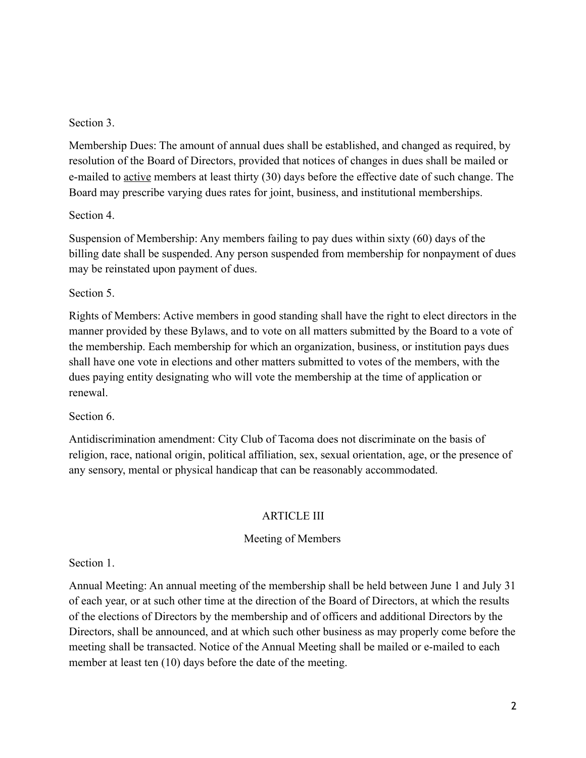## Section 3.

Membership Dues: The amount of annual dues shall be established, and changed as required, by resolution of the Board of Directors, provided that notices of changes in dues shall be mailed or e-mailed to active members at least thirty (30) days before the effective date of such change. The Board may prescribe varying dues rates for joint, business, and institutional memberships.

## Section 4.

Suspension of Membership: Any members failing to pay dues within sixty (60) days of the billing date shall be suspended. Any person suspended from membership for nonpayment of dues may be reinstated upon payment of dues.

## Section 5.

Rights of Members: Active members in good standing shall have the right to elect directors in the manner provided by these Bylaws, and to vote on all matters submitted by the Board to a vote of the membership. Each membership for which an organization, business, or institution pays dues shall have one vote in elections and other matters submitted to votes of the members, with the dues paying entity designating who will vote the membership at the time of application or renewal.

# Section 6.

Antidiscrimination amendment: City Club of Tacoma does not discriminate on the basis of religion, race, national origin, political affiliation, sex, sexual orientation, age, or the presence of any sensory, mental or physical handicap that can be reasonably accommodated.

# ARTICLE III

# Meeting of Members

# Section 1.

Annual Meeting: An annual meeting of the membership shall be held between June 1 and July 31 of each year, or at such other time at the direction of the Board of Directors, at which the results of the elections of Directors by the membership and of officers and additional Directors by the Directors, shall be announced, and at which such other business as may properly come before the meeting shall be transacted. Notice of the Annual Meeting shall be mailed or e-mailed to each member at least ten (10) days before the date of the meeting.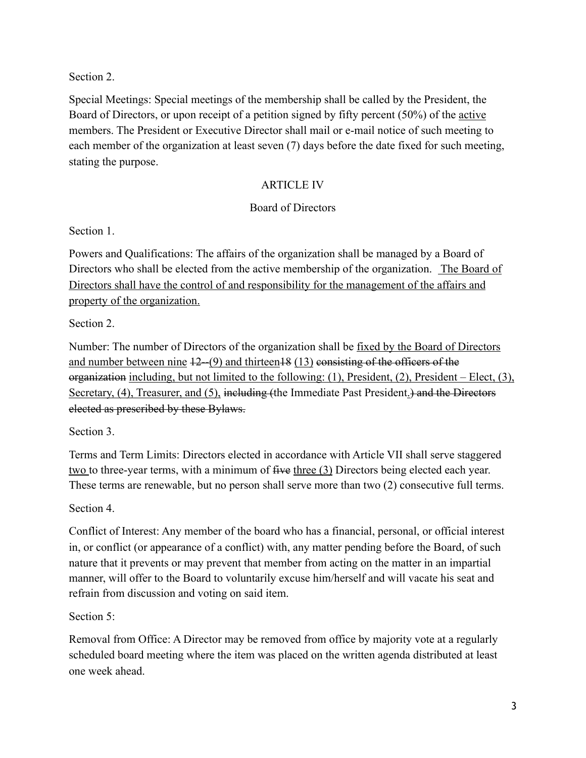Section 2.

Special Meetings: Special meetings of the membership shall be called by the President, the Board of Directors, or upon receipt of a petition signed by fifty percent (50%) of the active members. The President or Executive Director shall mail or e-mail notice of such meeting to each member of the organization at least seven (7) days before the date fixed for such meeting, stating the purpose.

# ARTICLE IV

# Board of Directors

Section 1.

Powers and Qualifications: The affairs of the organization shall be managed by a Board of Directors who shall be elected from the active membership of the organization. The Board of Directors shall have the control of and responsibility for the management of the affairs and property of the organization.

Section 2.

Number: The number of Directors of the organization shall be fixed by the Board of Directors and number between nine 12--(9) and thirteen18 (13) consisting of the officers of the organization including, but not limited to the following: (1), President, (2), President – Elect, (3), Secretary, (4), Treasurer, and (5), including (the Immediate Past President.) and the Directors elected as prescribed by these Bylaws.

Section 3.

Terms and Term Limits: Directors elected in accordance with Article VII shall serve staggered two to three-year terms, with a minimum of five three (3) Directors being elected each year. These terms are renewable, but no person shall serve more than two (2) consecutive full terms.

Section 4.

Conflict of Interest: Any member of the board who has a financial, personal, or official interest in, or conflict (or appearance of a conflict) with, any matter pending before the Board, of such nature that it prevents or may prevent that member from acting on the matter in an impartial manner, will offer to the Board to voluntarily excuse him/herself and will vacate his seat and refrain from discussion and voting on said item.

Section 5:

Removal from Office: A Director may be removed from office by majority vote at a regularly scheduled board meeting where the item was placed on the written agenda distributed at least one week ahead.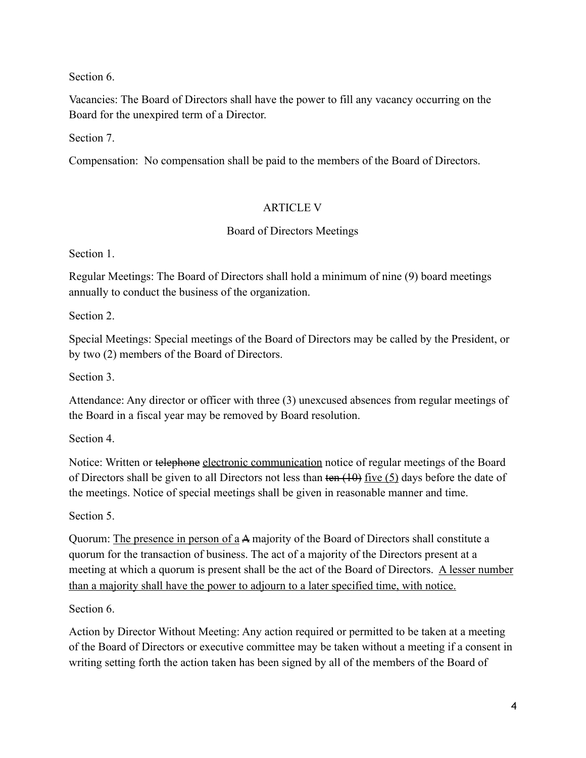Section 6.

Vacancies: The Board of Directors shall have the power to fill any vacancy occurring on the Board for the unexpired term of a Director.

Section 7.

Compensation: No compensation shall be paid to the members of the Board of Directors.

# ARTICLE V

# Board of Directors Meetings

Section 1.

Regular Meetings: The Board of Directors shall hold a minimum of nine (9) board meetings annually to conduct the business of the organization.

Section 2.

Special Meetings: Special meetings of the Board of Directors may be called by the President, or by two (2) members of the Board of Directors.

Section 3.

Attendance: Any director or officer with three (3) unexcused absences from regular meetings of the Board in a fiscal year may be removed by Board resolution.

Section 4.

Notice: Written or telephone electronic communication notice of regular meetings of the Board of Directors shall be given to all Directors not less than  $\tan(\theta)$  five (5) days before the date of the meetings. Notice of special meetings shall be given in reasonable manner and time.

Section 5.

Quorum: The presence in person of a A majority of the Board of Directors shall constitute a quorum for the transaction of business. The act of a majority of the Directors present at a meeting at which a quorum is present shall be the act of the Board of Directors. A lesser number than a majority shall have the power to adjourn to a later specified time, with notice.

Section 6.

Action by Director Without Meeting: Any action required or permitted to be taken at a meeting of the Board of Directors or executive committee may be taken without a meeting if a consent in writing setting forth the action taken has been signed by all of the members of the Board of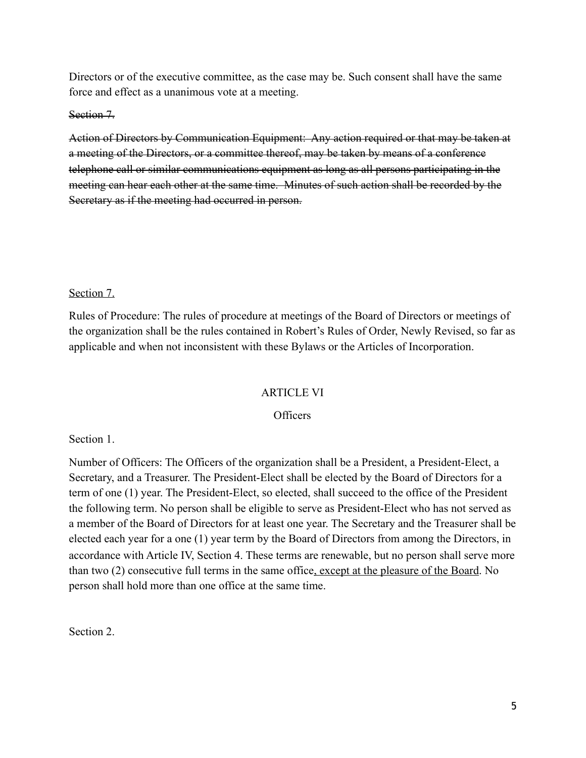Directors or of the executive committee, as the case may be. Such consent shall have the same force and effect as a unanimous vote at a meeting.

#### Section 7.

Action of Directors by Communication Equipment: Any action required or that may be taken at a meeting of the Directors, or a committee thereof, may be taken by means of a conference telephone call or similar communications equipment as long as all persons participating in the meeting can hear each other at the same time. Minutes of such action shall be recorded by the Secretary as if the meeting had occurred in person.

#### Section 7.

Rules of Procedure: The rules of procedure at meetings of the Board of Directors or meetings of the organization shall be the rules contained in Robert's Rules of Order, Newly Revised, so far as applicable and when not inconsistent with these Bylaws or the Articles of Incorporation.

#### ARTICLE VI

#### **Officers**

Section 1.

Number of Officers: The Officers of the organization shall be a President, a President-Elect, a Secretary, and a Treasurer. The President-Elect shall be elected by the Board of Directors for a term of one (1) year. The President-Elect, so elected, shall succeed to the office of the President the following term. No person shall be eligible to serve as President-Elect who has not served as a member of the Board of Directors for at least one year. The Secretary and the Treasurer shall be elected each year for a one (1) year term by the Board of Directors from among the Directors, in accordance with Article IV, Section 4. These terms are renewable, but no person shall serve more than two (2) consecutive full terms in the same office, except at the pleasure of the Board. No person shall hold more than one office at the same time.

Section 2.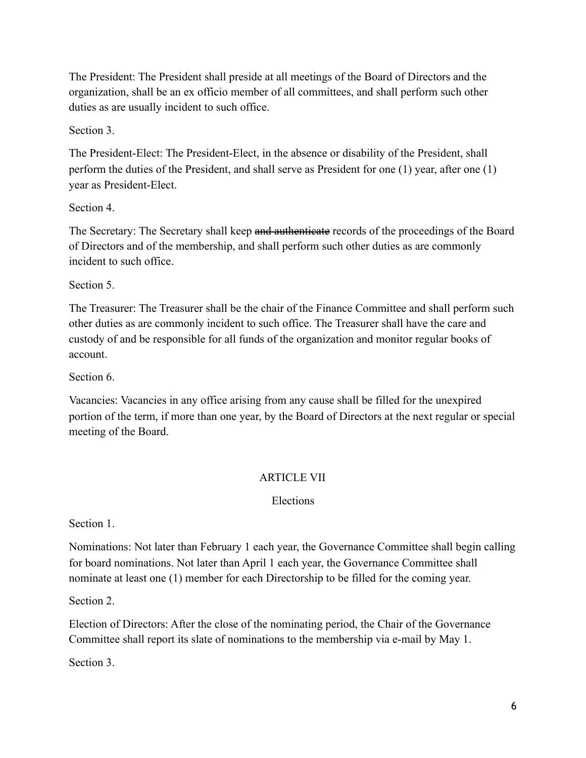The President: The President shall preside at all meetings of the Board of Directors and the organization, shall be an ex officio member of all committees, and shall perform such other duties as are usually incident to such office.

Section 3.

The President-Elect: The President-Elect, in the absence or disability of the President, shall perform the duties of the President, and shall serve as President for one (1) year, after one (1) year as President-Elect.

Section 4.

The Secretary: The Secretary shall keep and authenticate records of the proceedings of the Board of Directors and of the membership, and shall perform such other duties as are commonly incident to such office.

Section 5.

The Treasurer: The Treasurer shall be the chair of the Finance Committee and shall perform such other duties as are commonly incident to such office. The Treasurer shall have the care and custody of and be responsible for all funds of the organization and monitor regular books of account.

Section 6.

Vacancies: Vacancies in any office arising from any cause shall be filled for the unexpired portion of the term, if more than one year, by the Board of Directors at the next regular or special meeting of the Board.

# ARTICLE VII

Elections

Section 1.

Nominations: Not later than February 1 each year, the Governance Committee shall begin calling for board nominations. Not later than April 1 each year, the Governance Committee shall nominate at least one (1) member for each Directorship to be filled for the coming year.

Section 2.

Election of Directors: After the close of the nominating period, the Chair of the Governance Committee shall report its slate of nominations to the membership via e-mail by May 1.

Section 3.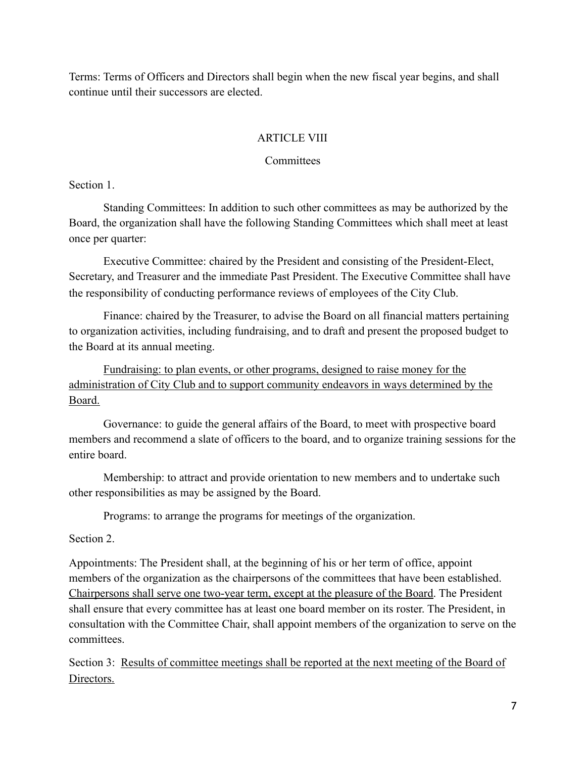Terms: Terms of Officers and Directors shall begin when the new fiscal year begins, and shall continue until their successors are elected.

## ARTICLE VIII

## **Committees**

Section 1.

Standing Committees: In addition to such other committees as may be authorized by the Board, the organization shall have the following Standing Committees which shall meet at least once per quarter:

Executive Committee: chaired by the President and consisting of the President-Elect, Secretary, and Treasurer and the immediate Past President. The Executive Committee shall have the responsibility of conducting performance reviews of employees of the City Club.

Finance: chaired by the Treasurer, to advise the Board on all financial matters pertaining to organization activities, including fundraising, and to draft and present the proposed budget to the Board at its annual meeting.

Fundraising: to plan events, or other programs, designed to raise money for the administration of City Club and to support community endeavors in ways determined by the Board.

Governance: to guide the general affairs of the Board, to meet with prospective board members and recommend a slate of officers to the board, and to organize training sessions for the entire board.

Membership: to attract and provide orientation to new members and to undertake such other responsibilities as may be assigned by the Board.

Programs: to arrange the programs for meetings of the organization.

Section 2.

Appointments: The President shall, at the beginning of his or her term of office, appoint members of the organization as the chairpersons of the committees that have been established. Chairpersons shall serve one two-year term, except at the pleasure of the Board. The President shall ensure that every committee has at least one board member on its roster. The President, in consultation with the Committee Chair, shall appoint members of the organization to serve on the committees.

Section 3: Results of committee meetings shall be reported at the next meeting of the Board of Directors.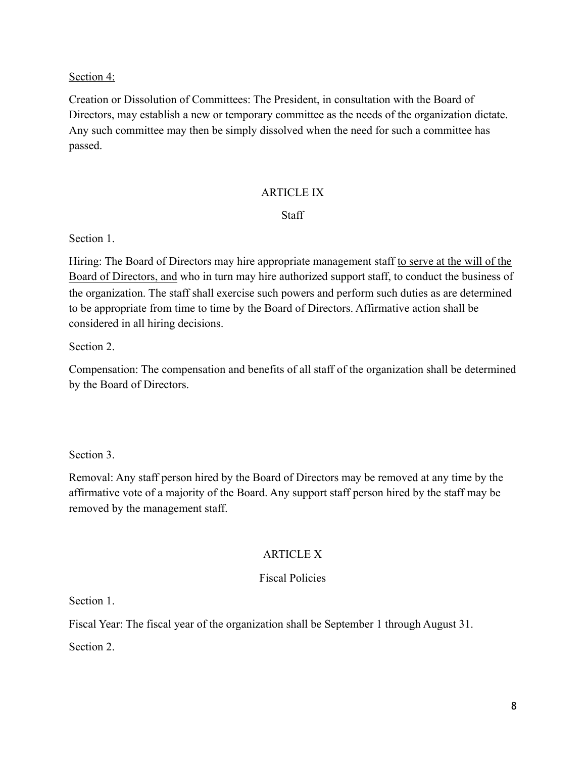## Section 4:

Creation or Dissolution of Committees: The President, in consultation with the Board of Directors, may establish a new or temporary committee as the needs of the organization dictate. Any such committee may then be simply dissolved when the need for such a committee has passed.

## ARTICLE IX

## **Staff**

Section 1.

Hiring: The Board of Directors may hire appropriate management staff to serve at the will of the Board of Directors, and who in turn may hire authorized support staff, to conduct the business of the organization. The staff shall exercise such powers and perform such duties as are determined to be appropriate from time to time by the Board of Directors. Affirmative action shall be considered in all hiring decisions.

Section 2.

Compensation: The compensation and benefits of all staff of the organization shall be determined by the Board of Directors.

Section 3.

Removal: Any staff person hired by the Board of Directors may be removed at any time by the affirmative vote of a majority of the Board. Any support staff person hired by the staff may be removed by the management staff.

# **ARTICLE X**

## Fiscal Policies

Section 1.

Fiscal Year: The fiscal year of the organization shall be September 1 through August 31.

Section 2.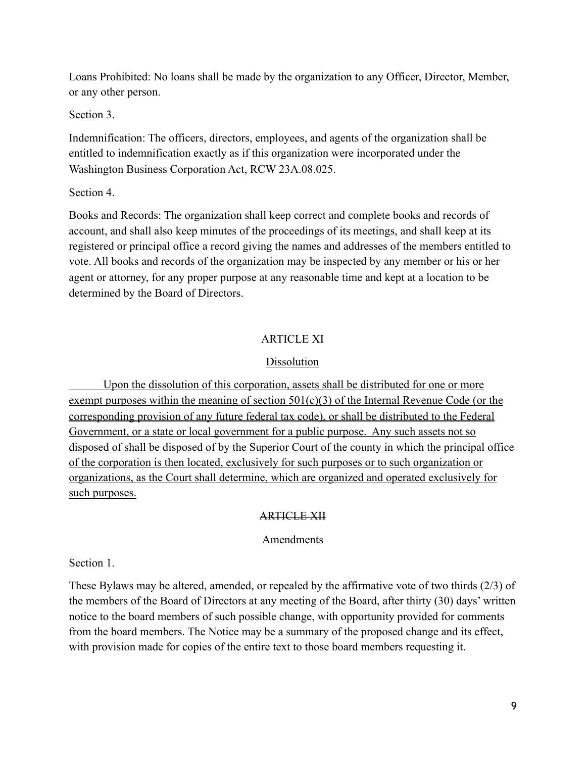Loans Prohibited: No loans shall be made by the organization to any Officer, Director, Member, or any other person.

Section 3.

Indemnification: The officers, directors, employees, and agents of the organization shall be entitled to indemnification exactly as if this organization were incorporated under the Washington Business Corporation Act, RCW 23A.08.025.

Section 4.

Books and Records: The organization shall keep correct and complete books and records of account, and shall also keep minutes of the proceedings of its meetings, and shall keep at its registered or principal office a record giving the names and addresses of the members entitled to vote. All books and records of the organization may be inspected by any member or his or her agent or attorney, for any proper purpose at any reasonable time and kept at a location to be determined by the Board of Directors.

## **ARTICLE XI**

## **Dissolution**

 Upon the dissolution of this corporation, assets shall be distributed for one or more exempt purposes within the meaning of section  $501(c)(3)$  of the Internal Revenue Code (or the corresponding provision of any future federal tax code), or shall be distributed to the Federal Government, or a state or local government for a public purpose. Any such assets not so disposed of shall be disposed of by the Superior Court of the county in which the principal office of the corporation is then located, exclusively for such purposes or to such organization or organizations, as the Court shall determine, which are organized and operated exclusively for such purposes.

## ARTICLE XII

#### Amendments

Section 1.

These Bylaws may be altered, amended, or repealed by the affirmative vote of two thirds (2/3) of the members of the Board of Directors at any meeting of the Board, after thirty (30) days' written notice to the board members of such possible change, with opportunity provided for comments from the board members. The Notice may be a summary of the proposed change and its effect, with provision made for copies of the entire text to those board members requesting it.